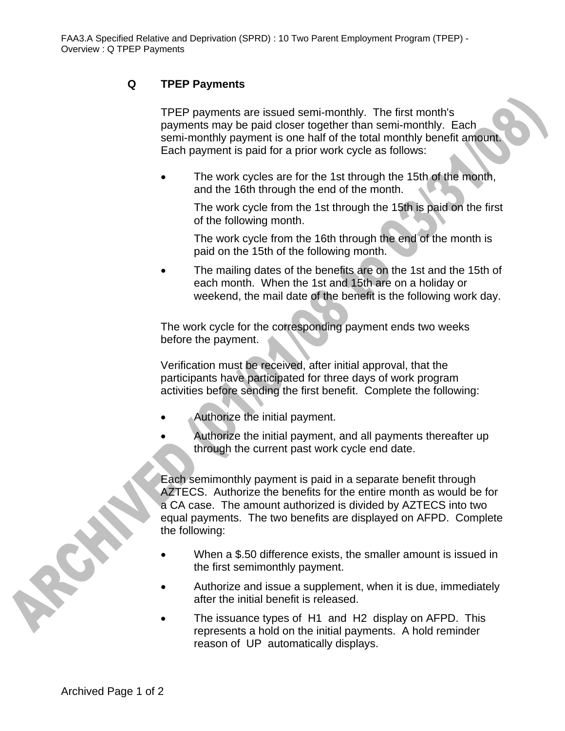## **Q TPEP Payments**

TPEP payments are issued semi-monthly. The first month's payments may be paid closer together than semi-monthly. Each semi-monthly payment is one half of the total monthly benefit amount. Each payment is paid for a prior work cycle as follows:

The work cycles are for the 1st through the 15th of the month, and the 16th through the end of the month.

The work cycle from the 1st through the 15th is paid on the first of the following month.

The work cycle from the 16th through the end of the month is paid on the 15th of the following month.

The mailing dates of the benefits are on the 1st and the 15th of each month. When the 1st and 15th are on a holiday or weekend, the mail date of the benefit is the following work day.

The work cycle for the corresponding payment ends two weeks before the payment.

Verification must be received, after initial approval, that the participants have participated for three days of work program activities before sending the first benefit. Complete the following:

- Authorize the initial payment.
- Authorize the initial payment, and all payments thereafter up through the current past work cycle end date.

Each semimonthly payment is paid in a separate benefit through AZTECS. Authorize the benefits for the entire month as would be for a CA case. The amount authorized is divided by AZTECS into two equal payments. The two benefits are displayed on AFPD. Complete the following:

- When a \$.50 difference exists, the smaller amount is issued in the first semimonthly payment.
- Authorize and issue a supplement, when it is due, immediately after the initial benefit is released.
- The issuance types of H1 and H2 display on AFPD. This represents a hold on the initial payments. A hold reminder reason of UP automatically displays.